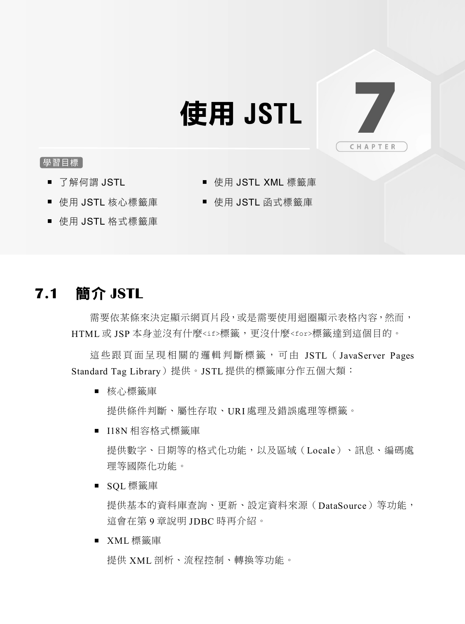# 使用 **JSTL** 7

## 學習目標

■ 了解何謂 JSTL

- 使用 JSTL XML 標籤庫
- 使用 JSTL 核心標籤庫
- 使用 JSTL 函式標籤庫
- 使用 JSTL 格式標籤庫

# **7.1** 簡介 **JSTL**

需要依某條來決定顯示網頁片段,或是需要使用迴圈顯示表格內容,然而, HTML 或 JSP 本身並沒有什麼<if>標籤,更沒什麼<for>標籤達到這個目的。

這些跟頁面呈現相關的邏輯判斷標籤,可由 JSTL (JavaServer Pages Standard Tag Library)提供。JSTL 提供的標籤庫分作五個大類:

■ 核心標籤庫

提供條件判斷、屬性存取、URI 處理及錯誤處理等標籤。

■ I18N 相容格式標籤庫

提供數字、日期等的格式化功能,以及區域(Locale)、訊息、編碼處 理等國際化功能。

■ SOL 標籤庫

提供基本的資料庫查詢、更新、設定資料來源(DataSource)等功能, 這會在第 9 章說明 JDBC 時再介紹。

■ XML 標籤庫

提供 XML 剖析、流程控制、轉換等功能。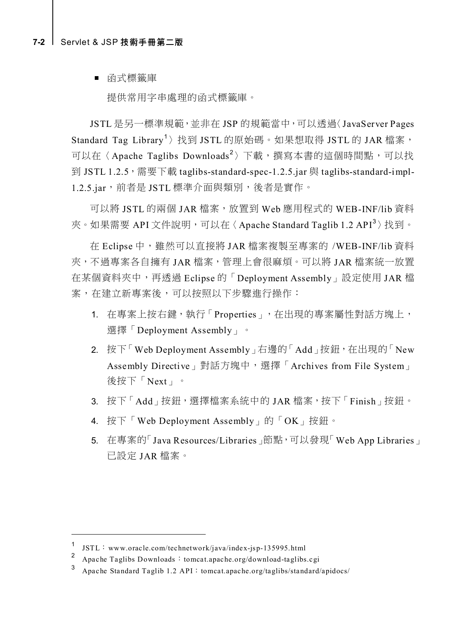#### **7-2** [Servlet & JSP](javascript:__doPostBack() 技術手冊第二版

■ 函式標籤庫

提供常用字串處理的函式標籤庫。

JSTL 是另一標準規範,並非在 JSP 的規範當中,可以透過〈JavaServer Pages Standard Tag Library<sup>1</sup>〉找到 JSTL 的原始碼。如果想取得 JSTL 的 JAR 檔案, 可以在〈Apache Taglibs Downloads<sup>2</sup>〉下載,撰寫本書的這個時間點,可以找 到 JSTL 1.2.5, 需要下載 taglibs-standard-spec-1.2.5.jar 與 taglibs-standard-impl-1.2.5.jar,前者是 JSTL 標準介面與類別,後者是實作。

可以將 JSTL 的兩個 JAR 檔案,放置到 Web 應用程式的 WEB-INF/lib 資料 夾。如果需要 API 文件說明,可以在〈Apache Standard Taglib 1.2 API<sup>3</sup>〉找到。

在 Eclipse 中,雖然可以直接將 JAR 檔案複製至專案的 /WEB-INF/lib 資料 夾,不過專案各自擁有 JAR 檔案,管理上會很麻煩。可以將 JAR 檔案統一放置 在某個資料夾中,再透過 Eclipse 的「Deployment Assembly」設定使用 JAR 檔 案,在建立新專案後,可以按照以下步驟進行操作:

- 1. 在專案上按右鍵,執行「Properties」,在出現的專案屬性對話方塊上, 選擇「Deployment Assembly」。
- 2. 按下「Web Deployment Assembly」右邊的「Add」按鈕, 在出現的「New Assembly Directive」對話方塊中,選擇「Archives from File System」 後按下「Next」。
- 3. 按下「Add」按鈕,選擇檔案系統中的 JAR 檔案,按下「Finish」按鈕。
- 4. 按下「Web Deployment Assembly」的「OK」按鈕。
- 5. 在專案的「Java Resources/Libraries」節點,可以發現「Web App Libraries」 已設定 JAR 檔案。

 $\overline{a}$ 

<sup>&</sup>lt;sup>1</sup> JSTL:www.oracle.com/technetwork/java/index-jsp-135995.html<br><sup>2</sup> Apocha Teclike Downloads:tempet graphs are/download teclike

Apache Taglibs Downloads: tomcat.apache.org/download-taglibs.cgi

 $3$  Apache Standard Taglib 1.2 API: tomcat.apache.org/taglibs/standard/apidocs/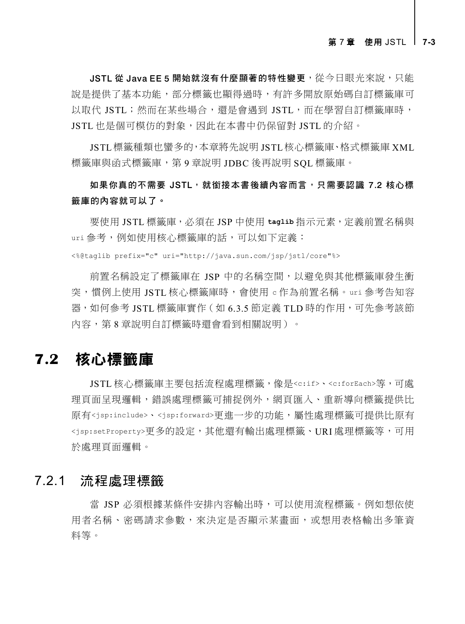JSTL 從 Java EE 5 開始就沒有什麼顯著的特性變更,從今日眼光來說,只能 說是提供了基本功能,部分標籤也顯得過時,有許多開放原始碼自訂標籤庫可 以取代 JSTL;然而在某些場合,還是會遇到 JSTL,而在學習自訂標籤庫時, JSTL 也是個可模仿的對象,因此在本書中仍保留對 JSTL 的介紹。

JSTL 標籤種類也蠻多的,本章將先說明 JSTL 核心標籤庫、格式標籤庫 XML 標籤庫與函式標籤庫,第 9 章說明 JDBC 後再說明 SQL 標籤庫。

如果你真的不需要 JSTL,就銜接本書後續內容而言,只需要認識 7.2 核心標 籤庫的內容就可以了。

要使用 JSTL 標籤庫,必須在 JSP 中使用 **taglib** 指示元素,定義前置名稱與 uri 參考,例如使用核心標籤庫的話,可以如下定義:

<%@taglib prefix="c" uri="http://java.sun.com/jsp/jstl/core"%>

前置名稱設定了標籤庫在 JSP 中的名稱空間,以避免與其他標籤庫發生衝 突,慣例上使用 JSTL 核心標籤庫時,會使用 <sup>c</sup> 作為前置名稱。uri 參考告知容 器,如何參考 JSTL 標籤庫實作 ( 如 6.3.5 節定義 TLD 時的作用,可先參考該節 內容,第 8 章說明自訂標籤時還會看到相關說明)。

# **7.2** 核心標籤庫

JSTL 核心標籤庫主要包括流程處理標籤,像是<c:if>、<c:forEach>等,可處 理頁面呈現邏輯,錯誤處理標籤可捕捉例外,網頁匯入、重新導向標籤提供比 原有<jsp:include>、<jsp:forward>更進一步的功能,屬性處理標籤可提供比原有 <jsp:setProperty>更多的設定,其他還有輸出處理標籤、URI 處理標籤等,可用 於處理頁面邏輯。

## 7.2.1 流程處理標籤

當 JSP 必須根據某條件安排內容輸出時,可以使用流程標籤。例如想依使 用者名稱、密碼請求參數,來決定是否顯示某畫面,或想用表格輸出多筆資 料等。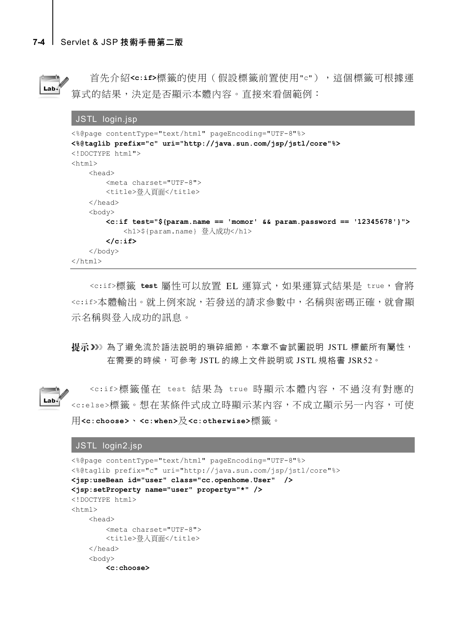

 $Lab<sub>4</sub>$ 

首先介紹**<c:if>**標籤的使用(假設標籤前置使用"c"),這個標籤可根據運 算式的結果,決定是否顯示本體內容。直接來看個範例:

```
JSTL login.jsp
<%@page contentType="text/html" pageEncoding="UTF-8"%>
<%@taglib prefix="c" uri="http://java.sun.com/jsp/jstl/core"%>
<!DOCTYPE html">
<html> <head>
         <meta charset="UTF-8">
        <title>登入百面</title>
    </head>
     <body>
         <c:if test="${param.name == 'momor' && param.password == '12345678'}">
             <h1>${param.name} 登入成功</h1>
         </c:if>
    </body>
</html>
```
<c:if>標籤 test 屬性可以放置 EL 運算式,如果運算式結果是 true,會將 <c:if>本體輸出。就上例來說,若發送的請求參數中,名稱與密碼正確,就會顯 示名稱與登入成功的訊息。

提示》》為了避免流於語法説明的瑣碎細節,本章不會試圖説明 JSTL 標籤所有屬性, 在需要的時候,可參考 JSTL 的線上文件説明或 JSTL 規格書 JSR52。

<c:if>標籤僅在 test 結果為 true 時顯示本體內容,不過沒有對應的 <c:else>標籤。想在某條件式成立時顯示某內容,不成立顯示另一內容,可使 用**<c:choose>**、**<c:when>**及**<c:otherwise>**標籤。

#### JSTL login2.jsp

```
<%@page contentType="text/html" pageEncoding="UTF-8"%>
<%@taglib prefix="c" uri="http://java.sun.com/jsp/jstl/core"%>
<jsp:useBean id="user" class="cc.openhome.User" />
<jsp:setProperty name="user" property="*" />
<!DOCTYPE html>
<html> <head>
         <meta charset="UTF-8">
        <title>登入百面</title>
     </head>
     <body>
         <c:choose>
```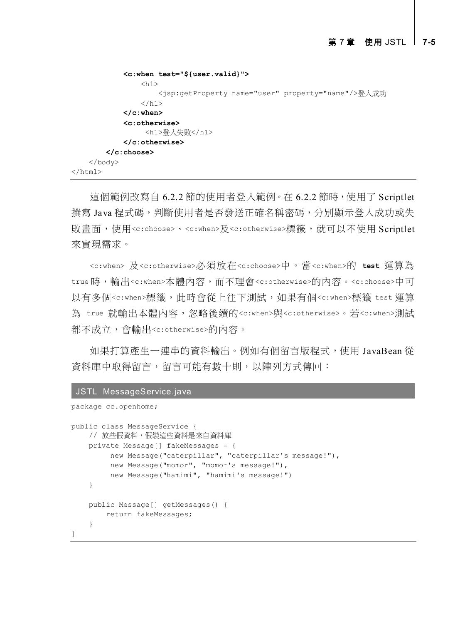```
 <c:when test="${user.valid}">
                 <h1>
                       <jsp:getProperty name="user" property="name"/>登入成功
                 \langle/h1>
              </c:when>
              <c:otherwise>
                   <h1>登入失敗</h1>
              </c:otherwise>
         </c:choose>
     </body>
\langle/html>
```
這個範例改寫自 6.2.2 節的使用者登入範例。在 6.2.2 節時, 使用了 Scriptlet 撰寫 Java 程式碼,判斷使用者是否發送正確名稱密碼,分別顯示登入成功或失 敗畫面,使用<c:choose>、<c:when>及<c:otherwise>標籤,就可以不使用 Scriptlet 來實現需求。

<c:when> 及<c:otherwise>必須放在<c:choose>中。當<c:when>的 **test** 運算為 true 時,輸出<c:when>本體內容,而不理會<c:otherwise>的內容。<c:choose>中可 以有多個<c:when>標籤,此時會從上往下測試,如果有個<c:when>標籤 test 運算 為 true 就輸出本體內容,忽略後續的<c:when>與<c:otherwise>。若<c:when>測試 都不成立,會輸出<c:otherwise>的內容。

如果打算產生一連串的資料輸出。例如有個留言版程式,使用 JavaBean 從 資料庫中取得留言,留言可能有數十則,以陣列方式傳回:

#### JSTL MessageService.java

```
package cc.openhome;
```

```
public class MessageService {
    // 放些假資料,假裝這些資料是來自資料庫
    private Message[] fakeMessages = {
         new Message("caterpillar", "caterpillar's message!"),
         new Message("momor", "momor's message!"),
         new Message("hamimi", "hamimi's message!")
    }
    public Message[] getMessages() {
       return fakeMessages;
     }
}
```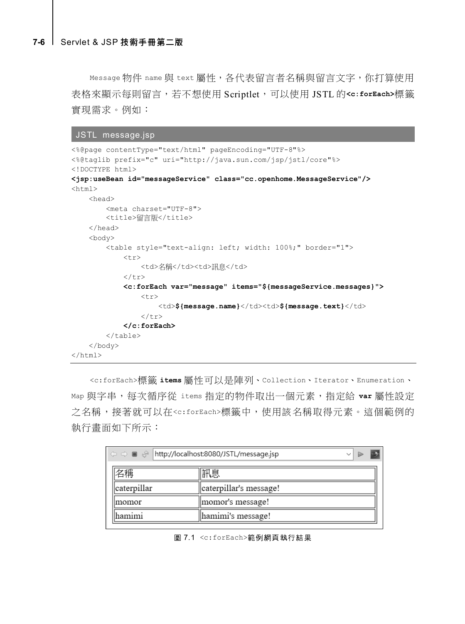Message 物件 name 與 text 屬性,各代表留言者名稱與留言文字, 你打算使用 表格來顯示每則留言,若不想使用 Scriptlet,可以使用 JSTL 的**<c:forEach>**標籤 實現需求。例如:

```
JSTL message.jsp
```

```
<%@page contentType="text/html" pageEncoding="UTF-8"%>
<%@taglib prefix="c" uri="http://java.sun.com/jsp/jstl/core"%>
<!DOCTYPE html>
<jsp:useBean id="messageService" class="cc.openhome.MessageService"/>
\hbox{\tt <html>>} <head>
          <meta charset="UTF-8">
          <title>留言版</title>
     </head>
     <body>
          <table style="text-align: left; width: 100%;" border="1">
              <tr>
                   <td>名稱</td><td>訊息</td>
              \langle/tr>
               <c:forEach var="message" items="${messageService.messages}">
tr> and the set of the set of the set of the set of the set of the set of the set of the set of the set of the
                          <td>${message.name}</td><td>${message.text}</td>
                    \langle/tr>
               </c:forEach>
         \langle/table>
     </body>
</html>
```
<c:forEach>標籤 **items** 屬性可以是陣列、Collection、Iterator、Enumeration、 Map 與字串,每次循序從 items 指定的物件取出一個元素,指定給 **var** 屬性設定 之名稱,接著就可以在<c:forEach>標籤中,使用該名稱取得元素。這個範例的 執行畫面如下所示:

| $\Box \Leftrightarrow \Box \Box \Leftrightarrow$ http://localhost:8080/JSTL/message.jsp |                        |  |  |
|-----------------------------------------------------------------------------------------|------------------------|--|--|
| 呂稱                                                                                      | 周厢                     |  |  |
| caterpillar                                                                             | caterpillar's message! |  |  |
| momor                                                                                   | momor's message!       |  |  |
| <b>hamimi</b>                                                                           | hamimi's message!      |  |  |

圖 7.1 <c:forEach>範例網頁執行結果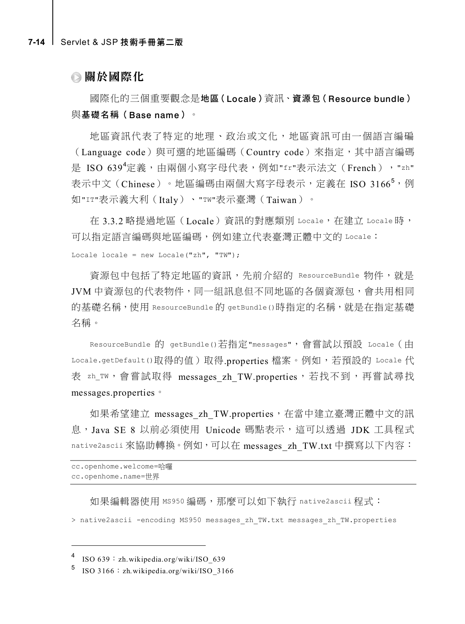## 關於國際化

國際化的三個重要觀念是地區(Locale)資訊、資源包(Resource bundle) 與基礎名稱(Base name)。

地區資訊代表了特定的地理、政治或文化,地區資訊可由一個語言編碥 (Language code)與可選的地區編碼(Country code)來指定,其中語言編碼 是 ISO 639<sup>4</sup>定義,由兩個小寫字母代表,例如"fr"表示法文(French),"zh" 表示中文(Chinese)。地區編碼由兩個大寫字母表示,定義在 ISO 3166<sup>5</sup>,例 如"IT"表示義大利(Italy)、"TW"表示臺灣(Taiwan)。

在 3.3.2 略提過地區(Locale)資訊的對應類別 Locale,在建立 Locale 時, 可以指定語言編碼與地區編碼,例如建立代表臺灣正體中文的 Locale: Locale locale = new Locale("zh", "TW");

資源包中包括了特定地區的資訊,先前介紹的 ResourceBundle 物件,就是 JVM 中資源包的代表物件,同一組訊息但不同地區的各個資源包,會共用相同 的基礎名稱,使用 ResourceBundle 的 getBundle()時指定的名稱, 就是在指定基礎 名稱。

ResourceBundle 的 getBundle()若指定"messages",會嘗試以預設 Locale(由 Locale.getDefault()取得的值)取得.properties 檔案。例如,若預設的 Locale 代 表 zh\_TW,會嘗試取得 messages zh TW.properties,若找不到,再嘗試尋找 messages.properties。

如果希望建立 messages zh TW.properties,在當中建立臺灣正體中文的訊 息,Java SE 8 以前必須使用 Unicode 碼點表示,這可以透過 JDK 工具程式 native2ascii 來協助轉換。例如,可以在 messages\_zh\_TW.txt 中撰寫以下內容:

```
cc.openhome.welcome=哈囉
cc.openhome.name=世界
```
如果編輯器使用 MS950 編碼,那麼可以如下執行 native2ascii 程式:

> native2ascii -encoding MS950 messages\_zh\_TW.txt messages\_zh\_TW.properties

 $\overline{a}$ 

<sup>4</sup> ISO 639:zh.wikipedia.org/wiki/ISO\_639

 $5$  ISO 3166: zh.wikipedia.org/wiki/ISO\_3166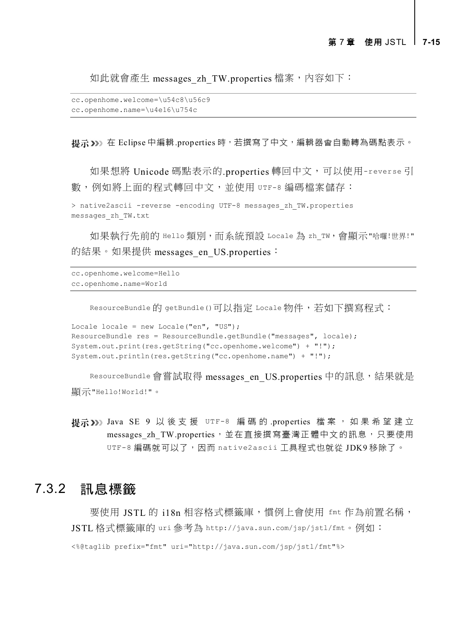如此就會產生 messages\_zh\_TW.properties 檔案,內容如下:

```
cc.openhome.welcome=\u54c8\u56c9
cc.openhome.name=\u4e16\u754c
```
提示>>> 在 Eclipse 中編輯.properties 時, 若撰寫了中文, 編輯器會自動轉為碼點表示。

如果想將 Unicode 碼點表示的.properties 轉回中文,可以使用-reverse 引 數,例如將上面的程式轉回中文,並使用 UTF-8 編碼檔案儲存:

```
> native2ascii -reverse -encoding UTF-8 messages_zh_TW.properties 
messages_zh_TW.txt
```
如果執行先前的 Hello 類別, 而系統預設 Locale 為 zh\_TW, 會顯示"哈囉!世界!" 的結果。如果提供 messages\_en\_US.properties:

```
cc.openhome.welcome=Hello
cc.openhome.name=World
```
ResourceBundle的 getBundle()可以指定 Locale 物件,若如下撰寫程式:

```
Locale locale = new Locale("en", "US");
ResourceBundle res = ResourceBundle.getBundle("messages", locale);
System.out.print(res.getString("cc.openhome.welcome") + "!");
System.out.println(res.getString("cc.openhome.name") + "!");
```
ResourceBundle 會嘗試取得 messages en US.properties 中的訊息,結果就是 顯示"Hello!World!"。

```
提示>>> Java SE 9 以後支援 UTF-8 編碼的.properties 檔案, 如果希望建立
     messages zh TW.properties,並在直接撰寫臺灣正體中文的訊息,只要使用
     UTF-8 編碼就可以了,因而 native2ascii 工具程式也就從 JDK9 移除了。
```
## 7.3.2 訊息標籤

要使用 JSTL 的 i18n 相容格式標籤庫, 慣例上會使用 fmt 作為前置名稱, JSTL 格式標籤庫的 uri 參考為 http://java.sun.com/jsp/jstl/fmt。例如: <%@taglib prefix="fmt" uri="http://java.sun.com/jsp/jstl/fmt"%>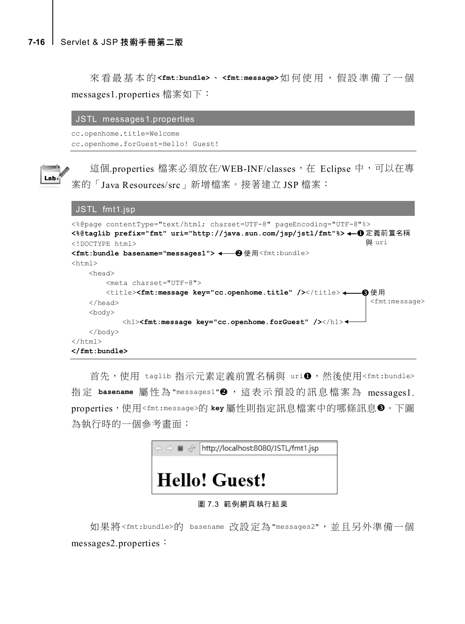來看最基本的 **<fmt:bundle>**、 **<fmt:message>**如何使用,假設準備了一個 messages1.properties 檔案如下:

#### JSTL messages1.properties

```
cc.openhome.title=Welcome
cc.openhome.forGuest=Hello! Guest!
```


這個.properties 檔案必須放在/WEB-INF/classes, 在 Eclipse 中,可以在專 案的「Java Resources/src」新增檔案。接著建立 JSP 檔案:

```
JSTL fmt1.jsp
```

```
<%@page contentType="text/html; charset=UTF-8" pageEncoding="UTF-8"%>
<%@taglib prefix="fmt" uri="http://java.sun.com/jsp/jstl/fmt"%>
定義前置名稱
<!DOCTYPE html>
<fmt:bundle basename="messages1">
使用<fmt:bundle>
<html>
    <head>
        <meta charset="UTF-8">
       <title><fmt:message key="cc.openhome.title" /></title><
    </head>
    <body>
            <h1><fmt:message key="cc.openhome.forGuest" /></h1>
    </body>
</html>
</fmt:bundle> 
                                                                   與 uri
                                                                  8使用
                                                                    <fmt:message>
```
首先,使用 taglib 指示元素定義前置名稱與 uri❶,然後使用<fmt:bundle> 指定 basename 屬性為 "messages1"<sup>2</sup>, 這表示預設的訊息檔案為 messages1. properties,使用<fmt:message>的 key 屬性則指定訊息檔案中的哪條訊息<sup>●。</sup>下圖 為執行時的一個參考畫面:



#### 圖 7.3 範例網頁執行結果

如果將<fmt:bundle>的 basename 改設定為"messages2",並且另外準備一個 messages2.properties: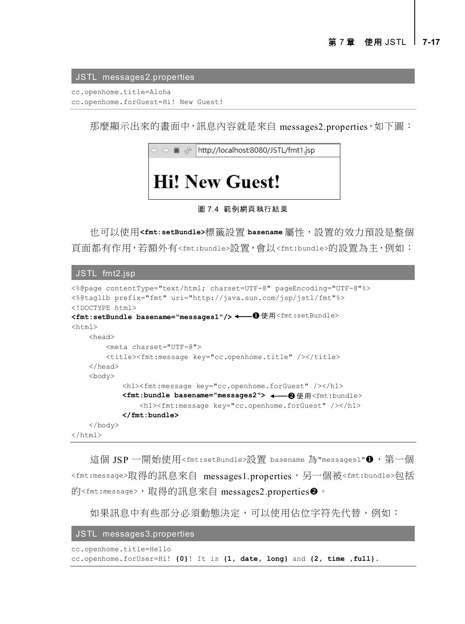JSTL messages2.properties

cc.openhome.title=Aloha cc.openhome.forGuest=Hi! New Guest!

那麼顯示出來的畫面中,訊息內容就是來自 messages2.properties,如下圖:



#### 圖 7.4 範例網頁執行結果

也可以使用**<fmt:setBundle>**標籤設置 **basename** 屬性,設置的效力預設是整個 頁面都有作用,若額外有<fmt:bundle>設置,會以<fmt:bundle>的設置為主,例如:

JSTL fmt2.jsp

```
<%@page contentType="text/html; charset=UTF-8" pageEncoding="UTF-8"%>
<%@taglib prefix="fmt" uri="http://java.sun.com/jsp/jstl/fmt"%>
<!DOCTYPE html>
<fmt:setBundle basename="messages1"/>
使用<fmt:setBundle>
<html> <head>
        <meta charset="UTF-8">
        <title><fmt:message key="cc.openhome.title" /></title>
     </head>
    <body>
            <h1><fmt:message key="cc.openhome.forGuest" /></h1>
        <fmt:bundle basename="messages2">
使用<fmt:bundle> <h1><fmt:message key="cc.openhome.forGuest" /></h1>
            </fmt:bundle>
    </body>
</html>
```
這個 JSP 一開始使用<fmt:setBundle>設置 basename 為"messages1"❶,第一個 <fmt:message>取得的訊息來自 messages1.properties,另一個被<fmt:bundle>包括 的<fmt:message>,取得的訊息來自 messages2.properties❷。

如果訊息中有些部分必須動態決定,可以使用佔位字符先代替,例如:

JSTL messages3.properties

```
cc.openhome.title=Hello
cc.openhome.forUser=Hi! {0}! It is {1, date, long} and {2, time ,full}.
```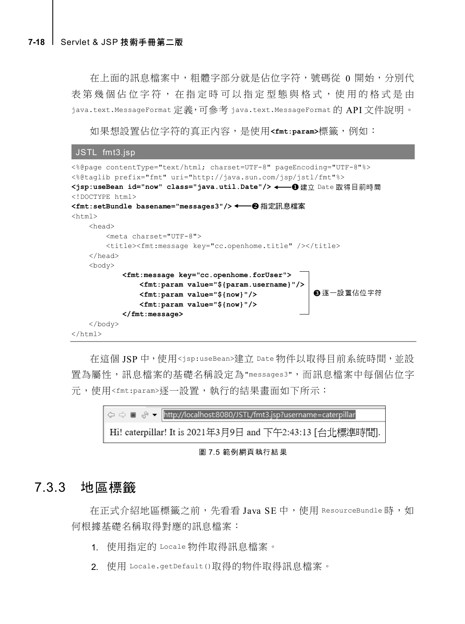在上面的訊息檔案中,粗體字部分就是佔位字符,號碼從 0 開始,分別代 表第幾個佔位字符,在指定時可以指定型態與格式,使用的格式是由 java.text.MessageFormat 定義,可參考 java.text.MessageFormat 的 API 文件說明。

如果想設置佔位字符的真正內容,是使用**<fmt:param>**標籤,例如:

```
JSTL fmt3.jsp
```

| <%@page contentType="text/html; charset=UTF-8" pageEncoding="UTF-8"%><br><%@taglib prefix="fmt" uri="http://java.sun.com/jsp/jstl/fmt"%><br><jsp:usebean class="java.util.Date" id="now"></jsp:usebean> ←— ❶ 律立 Date 取得目前時間<br>html<br><fmt:setbundle basename="messaqes3"></fmt:setbundle> ←━━❷指定訊息檔案 |
|--------------------------------------------------------------------------------------------------------------------------------------------------------------------------------------------------------------------------------------------------------------------------------------------------------|
| $\hbox{\tt >}$                                                                                                                                                                                                                                                                                         |
| <head></head>                                                                                                                                                                                                                                                                                          |
| <meta charset="utf-8"/>                                                                                                                                                                                                                                                                                |
| <title><fmt:message key="cc.openhome.title"></fmt:message></title>                                                                                                                                                                                                                                     |
| $\langle$ /head>                                                                                                                                                                                                                                                                                       |
| <body></body>                                                                                                                                                                                                                                                                                          |
| <fmt:message key="cc.openhome.forUser"></fmt:message>                                                                                                                                                                                                                                                  |
| <fmt:param value="\${param.username}"></fmt:param>                                                                                                                                                                                                                                                     |
| ❸ 逐一設置佔位字符<br>$\mathsf{fmt:param\ value=}\$ {now}"/>                                                                                                                                                                                                                                                   |
| $\mathsf{fmt:param\ value=}\$ {now}"/>                                                                                                                                                                                                                                                                 |
| $\langle$ fmt: message>                                                                                                                                                                                                                                                                                |
| $\langle$ /body>                                                                                                                                                                                                                                                                                       |
| $\langle$ /html $\rangle$                                                                                                                                                                                                                                                                              |

在這個 JSP 中,使用<jsp:useBean>建立 Date 物件以取得目前系統時間,並設 置為屬性,訊息檔案的基礎名稱設定為"messages3",而訊息檔案中每個佔位字 元,使用<fmt:param>逐一設置,執行的結果畫面如下所示:



圖 7.5 範例網頁執行結果

## 7.3.3 地區標籤

在正式介紹地區標籤之前,先看看 Java SE 中,使用 ResourceBundle 時,如 何根據基礎名稱取得對應的訊息檔案:

- 1. 使用指定的 Locale 物件取得訊息檔案。
- 2. 使用 Locale.getDefault()取得的物件取得訊息檔案。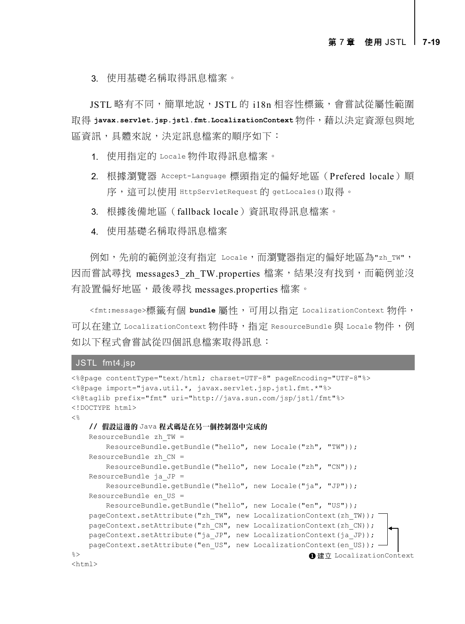3. 使用基礎名稱取得訊息檔案。

JSTL 略有不同,簡單地說,JSTL 的 i18n 相容性標籤,會嘗試從屬性範圍 取得 **javax.servlet.jsp.jstl.fmt.LocalizationContext** 物件,藉以決定資源包與地 區資訊,具體來說,決定訊息檔案的順序如下:

- 1. 使用指定的 Locale 物件取得訊息檔案。
- 2. 根據瀏覽器 Accept-Language 標頭指定的偏好地區(Prefered locale)順 序,這可以使用 HttpServletRequest 的 getLocales()取得。
- 3. 根據後備地區(fallback locale)資訊取得訊息檔案。
- 4. 使用基礎名稱取得訊息檔案

例如,先前的範例並沒有指定 Locale,而瀏覽器指定的偏好地區為"zh\_TW", 因而嘗試尋找 messages3 zh TW.properties 檔案,結果沒有找到,而範例並沒 有設置偏好地區,最後尋找 messages.properties 檔案。

<fmt:message>標籤有個 **bundle** 屬性,可用以指定 LocalizationContext 物件, 可以在建立 LocalizationContext 物件時,指定 ResourceBundle 與 Locale 物件,例 如以下程式會嘗試從四個訊息檔案取得訊息:

#### JSTL fmt4.jsp

```
<%@page contentType="text/html; charset=UTF-8" pageEncoding="UTF-8"%>
<%@page import="java.util.*, javax.servlet.jsp.jstl.fmt.*"%>
<%@taglib prefix="fmt" uri="http://java.sun.com/jsp/jstl/fmt"%>
<!DOCTYPE html>
< // 假設這邊的 Java 程式碼是在另一個控制器中完成的
    ResourceBundle zh_TW =
        ResourceBundle.getBundle("hello", new Locale("zh", "TW"));
    ResourceBundle zh_CN =
        ResourceBundle.getBundle("hello", new Locale("zh", "CN"));
    ResourceBundle ja_JP =
        ResourceBundle.getBundle("hello", new Locale("ja", "JP"));
    ResourceBundle en_US =
        ResourceBundle.getBundle("hello", new Locale("en", "US"));
    pageContext.setAttribute("zh_TW", new LocalizationContext(zh_TW));
    pageContext.setAttribute("zh_CN", new LocalizationContext(zh_CN));
    pageContext.setAttribute("ja_JP", new LocalizationContext(ja_JP));
   pageContext.setAttribute("en_US", new LocalizationContext(en_US)); -
2 ><html>
                                                       ■建立 LocalizationContext
```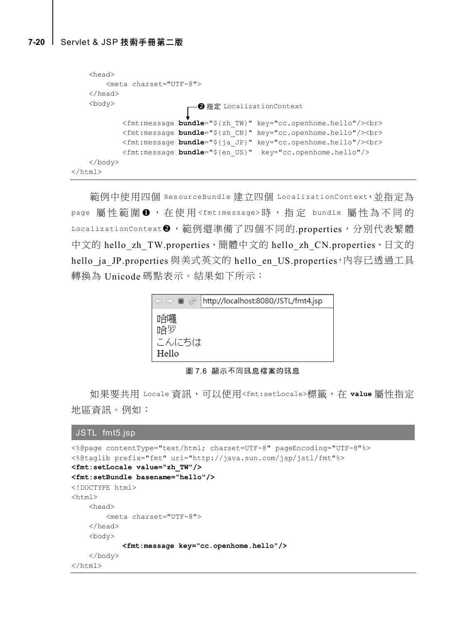```
 <head>
         <meta charset="UTF-8">
     </head>
     <body>
             <fmt:message bundle="${zh_TW}" key="cc.openhome.hello"/><br>
             <fmt:message bundle="${zh_CN}" key="cc.openhome.hello"/><br>
             <fmt:message bundle="${ja_JP}" key="cc.openhome.hello"/><br>
             <fmt:message bundle="${en_US}" key="cc.openhome.hello"/>
     </body>
\langle/html>
                               <sup>2</sup>指定 LocalizationContext
```
範例中使用四個 ResourceBundle 建立四個 LocalizationContext,並指定為 page 屬性範圍 , 在使用 <fmt:message> 時,指定 bundle 屬性為不同的 LocalizationContext 2, 範例還準備了四個不同的.properties, 分別代表繁體 中文的 hello\_zh\_TW.properties、簡體中文的 hello\_zh\_CN.properties、日文的 hello ja JP.properties 與美式英文的 hello en US.properties,內容已透過工具 轉換為 Unicode 碼點表示。結果如下所示:



#### 圖 7.6 顯示不同訊息檔案的訊息

如果要共用 Locale 資訊,可以使用<fmt:setLocale>標籤,在 **value** 屬性指定 地區資訊。例如:

#### JSTL fmt5.jsp

```
<%@page contentType="text/html; charset=UTF-8" pageEncoding="UTF-8"%>
<%@taglib prefix="fmt" uri="http://java.sun.com/jsp/jstl/fmt"%>
<fmt:setLocale value="zh_TW"/>
<fmt:setBundle basename="hello"/>
<!DOCTYPE html>
<html> <head>
         <meta charset="UTF-8">
     </head>
     <body>
             <fmt:message key="cc.openhome.hello"/>
     </body>
\langle/html>
```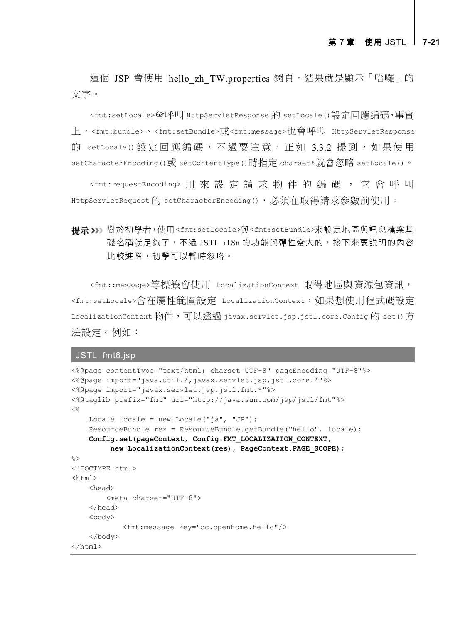這個 JSP 會使用 hello zh TW.properties 網頁,結果就是顯示「哈囉」的 文字。

<fmt:setLocale>會呼叫 HttpServletResponse 的 setLocale()設定回應編碼,事實 上,<fmt:bundle>、<fmt:setBundle>或<fmt:message>也會呼叫 HttpServletResponse 的 setLocale() 設定回應編碼,不過要注意,正如 3.3.2 提到,如果使用 setCharacterEncoding()或 setContentType()時指定 charset,就會忽略 setLocale()。

<fmt:requestEncoding> 用來設定請求物件的編碼, 它會呼叫 HttpServletRequest 的 setCharacterEncoding(), 必須在取得請求參數前使用。

對於初學者,使用<fmt:setLocale>與<fmt:setBundle>來設定地區與訊息檔案基 礎名稱就足夠了,不過 JSTL i18n 的功能與彈性蠻大的,接下來要説明的內容 比較進階,初學可以暫時忽略。

<fmt::message>等標籤會使用 LocalizationContext 取得地區與資源包資訊, <fmt:setLocale>會在屬性範圍設定 LocalizationContext,如果想使用程式碼設定 LocalizationContext 物件,可以透過 javax.servlet.jsp.jstl.core.Config 的 set()方 法設定。例如:

#### JSTL fmt6.jsp

```
<%@page contentType="text/html; charset=UTF-8" pageEncoding="UTF-8"%>
<%@page import="java.util.*,javax.servlet.jsp.jstl.core.*"%>
<%@page import="javax.servlet.jsp.jstl.fmt.*"%>
<%@taglib prefix="fmt" uri="http://java.sun.com/jsp/jstl/fmt"%>
< Locale locale = new Locale("ja", "JP");
     ResourceBundle res = ResourceBundle.getBundle("hello", locale);
     Config.set(pageContext, Config.FMT_LOCALIZATION_CONTEXT,
          new LocalizationContext(res), PageContext.PAGE_SCOPE);
%>
<!DOCTYPE html>
<html> <head>
         <meta charset="UTF-8">
     </head>
     <body>
             <fmt:message key="cc.openhome.hello"/>
     </body>
\langle/html>
```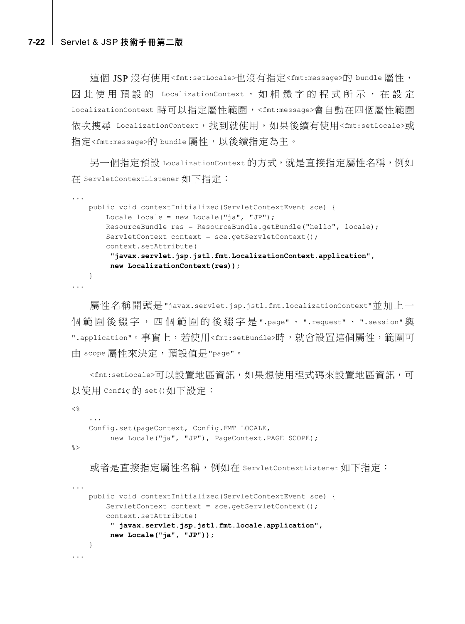#### **7-22** [Servlet & JSP](javascript:__doPostBack() 技術手冊第二版

這個 JSP 沒有使用<fmt:setLocale>也沒有指定<fmt:message>的 bundle 屬性, 因此使用預設的 LocalizationContext, 如粗體字的程式所示, 在設定 LocalizationContext 時可以指定屬性範圍,<fmt:message>會自動在四個屬性範圍 依次搜尋 LocalizationContext,找到就使用,如果後續有使用<fmt:setLocale>或 指定<fmt:message>的 bundle 屬性,以後續指定為主。

另一個指定預設 LocalizationContext 的方式,就是直接指定屬性名稱,例如 在 ServletContextListener 如下指定:

```
...
    public void contextInitialized(ServletContextEvent sce) {
        Locale locale = new Locale("ja", "JP");
        ResourceBundle res = ResourceBundle.getBundle("hello", locale);
       ServletContext context = sce.getServletContext();
        context.setAttribute(
          "javax.servlet.jsp.jstl.fmt.LocalizationContext.application",
         new LocalizationContext(res));
    }
...
```
屬性名稱開頭是"javax.servlet.jsp.jstl.fmt.localizationContext"並加上一 個範圍後綴字,四個範圍的後綴字是 ".page" 、 ".request" 、 ".session" 與 ".application"。事實上,若使用<fmt:setBundle>時,就會設置這個屬性,範圍可 由 scope 屬性來決定, 預設值是"page"。

<fmt:setLocale>可以設置地區資訊,如果想使用程式碼來設置地區資訊,可 以使用 Config的 set()如下設定:

```
< \frac{6}{6} ...
     Config.set(pageContext, Config.FMT_LOCALE,
           new Locale("ja", "JP"), PageContext. PAGE SCOPE);
\geqslant
```
或者是直接指定屬性名稱,例如在 ServletContextListener 如下指定:

```
...
    public void contextInitialized(ServletContextEvent sce) {
        ServletContext context = sce.getServletContext();
         context.setAttribute(
          " javax.servlet.jsp.jstl.fmt.locale.application",
         new Locale("ja", "JP"));
    }
...
```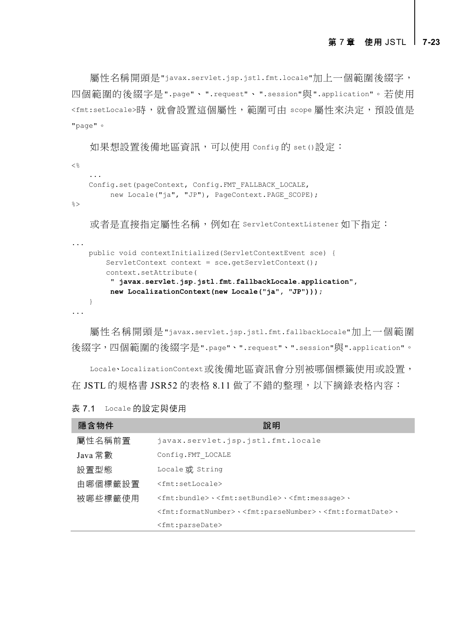屬性名稱開頭是"javax.servlet.jsp.jstl.fmt.locale"加上一個範圍後綴字, 四個範圍的後綴字是".page"、".request"、".session"與".application"。若使用 <fmt:setLocale>時, 就會設置這個屬性, 範圍可中 scope 屬性來決定, 預設值是 "page"。

如果想設置後備地區資訊,可以使用 Config 的 set ()設定:

```
< %
     ...
     Config.set(pageContext, Config.FMT_FALLBACK_LOCALE,
         new Locale("ja", "JP"), PageContext. PAGE SCOPE);
%>
```
或者是直接指定屬性名稱,例如在 ServletContextListener 如下指定:

```
 public void contextInitialized(ServletContextEvent sce) {
        ServletContext context = sce.getServletContext();
        context.setAttribute(
          " javax.servlet.jsp.jstl.fmt.fallbackLocale.application",
         new LocalizationContext(new Locale("ja", "JP")));
    }
...
```
屬性名稱開頭是"javax.servlet.jsp.jstl.fmt.fallbackLocale"加上一個範圍 後綴字,四個範圍的後綴字是".page"、".request"、".session"與".application"。

Locale、LocalizationContext或後備地區資訊會分別被哪個標籤使用或設置, 在 JSTL 的規格書 JSR52 的表格 8.11 做了不錯的整理,以下摘錄表格內容:

| 表 7.1 | Locale 的設定與使用 |
|-------|---------------|
|-------|---------------|

...

| 隱含物件    | 說明                                                                                                                |
|---------|-------------------------------------------------------------------------------------------------------------------|
| 屬性名稱前置  | javax.servlet.jsp.jstl.fmt.locale                                                                                 |
| Java 常數 | Config.FMT LOCALE                                                                                                 |
| 設置型態    | Locale 或 String                                                                                                   |
| 由哪個標籤設置 | $<$ fmt:setLocale>                                                                                                |
| 被哪些標籤使用 | <fmt:bundle> 、<fmt:setbundle> 、<fmt:message> 、</fmt:message></fmt:setbundle></fmt:bundle>                         |
|         | <fmt:formatnumber> \ <fmt:parsenumber> \ <fmt:formatdate> \</fmt:formatdate></fmt:parsenumber></fmt:formatnumber> |
|         | <fmt:parsedate></fmt:parsedate>                                                                                   |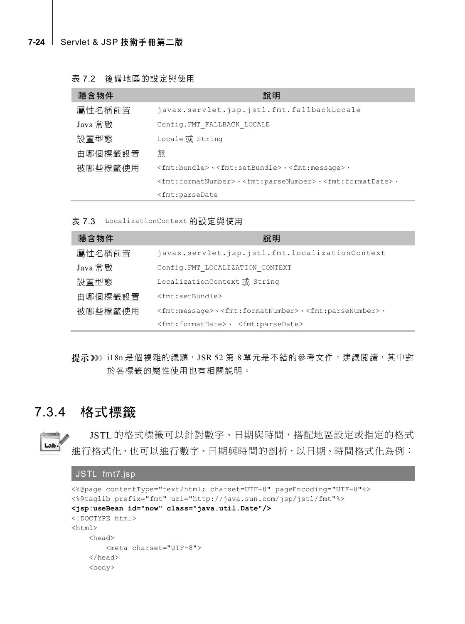表 7.2 後備地區的設定與使用

| 隱含物件    | 說明                                                                                                                |  |  |
|---------|-------------------------------------------------------------------------------------------------------------------|--|--|
| 屬性名稱前置  | javax.servlet.jsp.jstl.fmt.fallbackLocale                                                                         |  |  |
| Java 常數 | Config.FMT FALLBACK LOCALE                                                                                        |  |  |
| 設置型態    | Locale 或 String                                                                                                   |  |  |
| 由哪個標籤設置 | 無                                                                                                                 |  |  |
| 被哪些標籤使用 | <fmt:bundle> \<fmt:setbundle> \<fmt:message> \</fmt:message></fmt:setbundle></fmt:bundle>                         |  |  |
|         | <fmt:formatnumber> · <fmt:parsenumber> · <fmt:formatdate> ·</fmt:formatdate></fmt:parsenumber></fmt:formatnumber> |  |  |
|         | <fmt:parsedate< td=""></fmt:parsedate<>                                                                           |  |  |

表 7.3 LocalizationContext 的設定與使用

| 隱含物件    | 說明                                                                                                    |  |  |
|---------|-------------------------------------------------------------------------------------------------------|--|--|
| 屬性名稱前置  | javax.servlet.jsp.jstl.fmt.localizationContext                                                        |  |  |
| Java 常數 | Config.FMT LOCALIZATION CONTEXT                                                                       |  |  |
| 設置型熊    | LocalizationContext 或 String                                                                          |  |  |
| 由哪個標籤設置 | <fmt:setbundle></fmt:setbundle>                                                                       |  |  |
| 被哪些標籤使用 | $\langle$ fmt:messaqe> $\cdot$ $\langle$ fmt:formatNumber> $\cdot$ $\langle$ fmt:parseNumber> $\cdot$ |  |  |
|         | <fmt:formatdate>、<fmt:parsedate></fmt:parsedate></fmt:formatdate>                                     |  |  |

提示>>> i18n 是個複雜的議題, JSR 52 第 8 單元是不錯的參考文件, 建議閱讀, 其中對 於各標籤的屬性使用也有相關說明。

# 7.3.4 格式標籤

JSTL 的格式標籤可以針對數字、日期與時間,搭配地區設定或指定的格式  $Lab<sub>4</sub>$ 進行格式化,也可以進行數字、日期與時間的剖析,以日期、時間格式化為例:

## JSTL fmt7.jsp

```
<%@page contentType="text/html; charset=UTF-8" pageEncoding="UTF-8"%>
<%@taglib prefix="fmt" uri="http://java.sun.com/jsp/jstl/fmt"%>
<jsp:useBean id="now" class="java.util.Date"/>
<!DOCTYPE html>
<html> <head>
        <meta charset="UTF-8">
     </head>
     <body>
```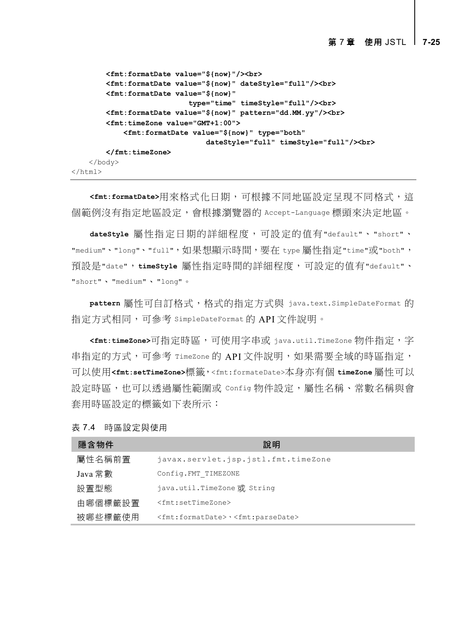```
 <fmt:formatDate value="${now}"/><br>
         <fmt:formatDate value="${now}" dateStyle="full"/><br>
         <fmt:formatDate value="${now}"
                             type="time" timeStyle="full"/><br>
         <fmt:formatDate value="${now}" pattern="dd.MM.yy"/><br>
         <fmt:timeZone value="GMT+1:00">
             <fmt:formatDate value="${now}" type="both"
                                 dateStyle="full" timeStyle="full"/><br>
         </fmt:timeZone>
     </body>
\langle/html>
```
**<fmt:formatDate>**用來格式化日期,可根據不同地區設定呈現不同格式,這 個範例沒有指定地區設定,會根據瀏覽器的 Accept-Language 標頭來決定地區。

**dateStyle** 屬性指定日期的詳細程度,可設定的值有"default"、"short"、 "medium"、"long"、"full",如果想顯示時間,要在 type 屬性指定"time"或"both", 預設是"date",**timeStyle** 屬性指定時間的詳細程度,可設定的值有"default"、 "short"、"medium"、"long"。

pattern 屬性可自訂格式,格式的指定方式與 java.text.SimpleDateFormat 的 指定方式相同,可參考 SimpleDateFormat 的 API 文件說明。

**<fmt:timeZone>**可指定時區,可使用字串或 java.util.TimeZone 物件指定,字 串指定的方式,可參考 TimeZone 的 API 文件說明,如果需要全域的時區指定, 可以使用**<fmt:setTimeZone>**標籤,<fmt:formateDate>本身亦有個 **timeZone** 屬性可以 設定時區,也可以透過屬性範圍或 Config 物件設定,屬性名稱、常數名稱與會 套用時區設定的標籤如下表所示:

| 隱含物件    | 說明                                                                 |
|---------|--------------------------------------------------------------------|
| 屬性名稱前置  | javax.servlet.jsp.jstl.fmt.timeZone                                |
| Java 常數 | Config.FMT TIMEZONE                                                |
| 設置型熊    | java.util.TimeZone或 String                                         |
| 由哪個標籤設置 | <fmt:settimezone></fmt:settimezone>                                |
| 被哪些標籤使用 | <fmt:formatdate> \<fmt:parsedate></fmt:parsedate></fmt:formatdate> |

|  | 表 7.4 | 時區設定與使用 |
|--|-------|---------|
|--|-------|---------|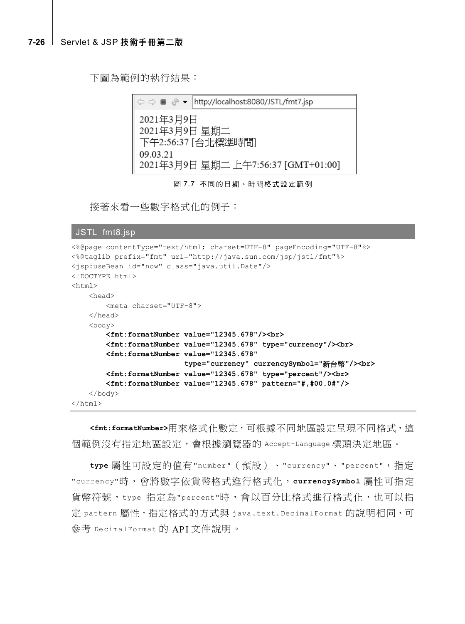#### **7-26** [Servlet & JSP](javascript:__doPostBack() 技術手冊第二版

下圖為範例的執行結果:



圖 7.7 不同的日期、時間格式設定範例

接著來看一些數字格式化的例子:

```
JSTL fmt8.jsp
```

```
<%@page contentType="text/html; charset=UTF-8" pageEncoding="UTF-8"%>
<%@taglib prefix="fmt" uri="http://java.sun.com/jsp/jstl/fmt"%>
<jsp:useBean id="now" class="java.util.Date"/>
<!DOCTYPE html>
<h+ml> <head>
         <meta charset="UTF-8">
     </head>
     <body>
         <fmt:formatNumber value="12345.678"/><br>
         <fmt:formatNumber value="12345.678" type="currency"/><br>
         <fmt:formatNumber value="12345.678"
                            type="currency" currencySymbol="新台幣"/><br>
         <fmt:formatNumber value="12345.678" type="percent"/><br>
         <fmt:formatNumber value="12345.678" pattern="#,#00.0#"/>
     </body>
\langle/html>
```
**<fmt:formatNumber>**用來格式化數定,可根據不同地區設定呈現不同格式,這 個範例沒有指定地區設定,會根據瀏覽器的 Accept-Language 標頭決定地區。

**type** 屬性可設定的值有"number"(預設)、"currency"、"percent",指定 "currency"時,會將數字依貨幣格式進行格式化,**currencySymbol** 屬性可指定 貨幣符號,type 指定為"percent"時,會以百分比格式進行格式化,也可以指 定 pattern 屬性, 指定格式的方式與 java.text.DecimalFormat 的說明相同,可 參考 DecimalFormat 的 API 文件說明。